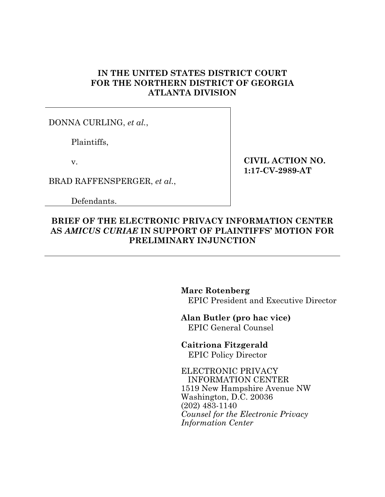# **IN THE UNITED STATES DISTRICT COURT FOR THE NORTHERN DISTRICT OF GEORGIA ATLANTA DIVISION**

DONNA CURLING, *et al.*,

Plaintiffs,

v.

BRAD RAFFENSPERGER, *et al.*,

Defendants.

**CIVIL ACTION NO. 1:17-CV-2989-AT** 

# **BRIEF OF THE ELECTRONIC PRIVACY INFORMATION CENTER AS** *AMICUS CURIAE* **IN SUPPORT OF PLAINTIFFS' MOTION FOR PRELIMINARY INJUNCTION**

**Marc Rotenberg** EPIC President and Executive Director

**Alan Butler (pro hac vice)**

EPIC General Counsel

**Caitriona Fitzgerald** EPIC Policy Director

ELECTRONIC PRIVACY INFORMATION CENTER 1519 New Hampshire Avenue NW Washington, D.C. 20036 (202) 483-1140 *Counsel for the Electronic Privacy Information Center*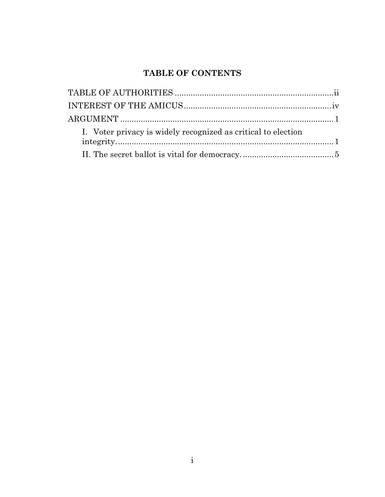# **TABLE OF CONTENTS**

| I. Voter privacy is widely recognized as critical to election |  |
|---------------------------------------------------------------|--|
|                                                               |  |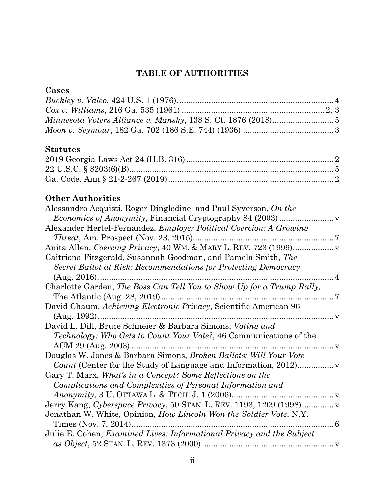# **TABLE OF AUTHORITIES**

# **Cases**

# **Statutes**

# **Other Authorities**

| Alessandro Acquisti, Roger Dingledine, and Paul Syverson, On the          |  |
|---------------------------------------------------------------------------|--|
|                                                                           |  |
| Alexander Hertel-Fernandez, <i>Employer Political Coercion: A Growing</i> |  |
|                                                                           |  |
|                                                                           |  |
| Caitriona Fitzgerald, Susannah Goodman, and Pamela Smith, The             |  |
| Secret Ballot at Risk: Recommendations for Protecting Democracy           |  |
| $\overline{4}$                                                            |  |
| Charlotte Garden, The Boss Can Tell You to Show Up for a Trump Rally,     |  |
|                                                                           |  |
| David Chaum, Achieving Electronic Privacy, Scientific American 96         |  |
|                                                                           |  |
| David L. Dill, Bruce Schneier & Barbara Simons, Voting and                |  |
| <i>Technology: Who Gets to Count Your Vote?, 46 Communications of the</i> |  |
| . V                                                                       |  |
| Douglas W. Jones & Barbara Simons, Broken Ballots: Will Your Vote         |  |
| Count (Center for the Study of Language and Information, 2012)            |  |
| Gary T. Marx, What's in a Concept? Some Reflections on the                |  |
| Complications and Complexities of Personal Information and                |  |
|                                                                           |  |
| Jerry Kang, Cyberspace Privacy, 50 STAN. L. REV. 1193, 1209 (1998)        |  |
| Jonathan W. White, Opinion, How Lincoln Won the Soldier Vote, N.Y.        |  |
| . 6                                                                       |  |
| Julie E. Cohen, Examined Lives: Informational Privacy and the Subject     |  |
|                                                                           |  |
|                                                                           |  |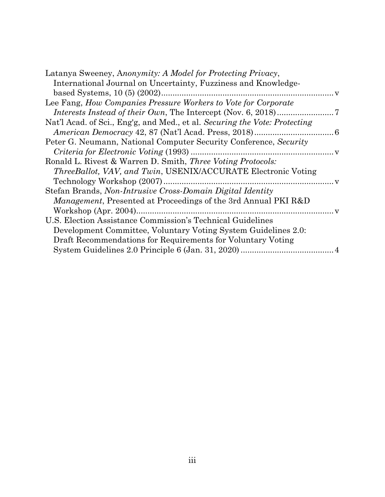| Latanya Sweeney, Anonymity: A Model for Protecting Privacy,                |  |
|----------------------------------------------------------------------------|--|
| International Journal on Uncertainty, Fuzziness and Knowledge-             |  |
|                                                                            |  |
| Lee Fang, How Companies Pressure Workers to Vote for Corporate             |  |
|                                                                            |  |
| Nat'l Acad. of Sci., Eng'g, and Med., et al. Securing the Vote: Protecting |  |
|                                                                            |  |
| Peter G. Neumann, National Computer Security Conference, Security          |  |
|                                                                            |  |
| Ronald L. Rivest & Warren D. Smith, Three Voting Protocols:                |  |
| <i>ThreeBallot, VAV, and Twin, USENIX/ACCURATE Electronic Voting</i>       |  |
| Technology Workshop (2007)                                                 |  |
| Stefan Brands, Non-Intrusive Cross-Domain Digital Identity                 |  |
| <i>Management</i> , Presented at Proceedings of the 3rd Annual PKI R&D     |  |
| Workshop (Apr. 2004)                                                       |  |
| U.S. Election Assistance Commission's Technical Guidelines                 |  |
| Development Committee, Voluntary Voting System Guidelines 2.0:             |  |
| Draft Recommendations for Requirements for Voluntary Voting                |  |
|                                                                            |  |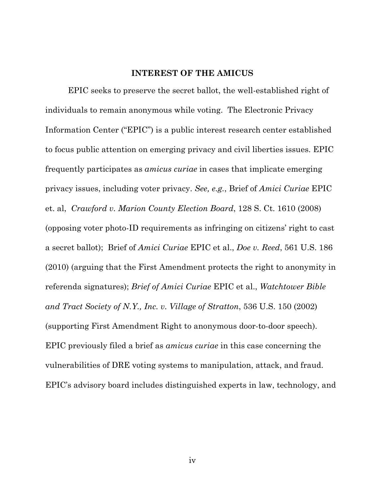### **INTEREST OF THE AMICUS**

EPIC seeks to preserve the secret ballot, the well-established right of individuals to remain anonymous while voting. The Electronic Privacy Information Center ("EPIC") is a public interest research center established to focus public attention on emerging privacy and civil liberties issues. EPIC frequently participates as *amicus curiae* in cases that implicate emerging privacy issues, including voter privacy. *See, e.g.*, Brief of *Amici Curiae* EPIC et. al, *Crawford v. Marion County Election Board*, 128 S. Ct. 1610 (2008) (opposing voter photo-ID requirements as infringing on citizens' right to cast a secret ballot); Brief of *Amici Curiae* EPIC et al., *Doe v. Reed*, 561 U.S. 186 (2010) (arguing that the First Amendment protects the right to anonymity in referenda signatures); *Brief of Amici Curiae* EPIC et al., *Watchtower Bible and Tract Society of N.Y., Inc. v. Village of Stratton*, 536 U.S. 150 (2002) (supporting First Amendment Right to anonymous door-to-door speech). EPIC previously filed a brief as *amicus curiae* in this case concerning the vulnerabilities of DRE voting systems to manipulation, attack, and fraud. EPIC's advisory board includes distinguished experts in law, technology, and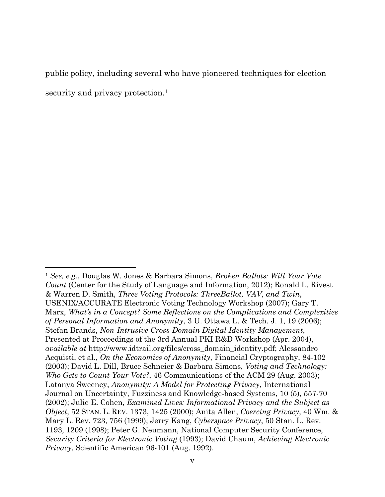public policy, including several who have pioneered techniques for election security and privacy protection. 1

<sup>1</sup> *See, e.g.*, Douglas W. Jones & Barbara Simons, *Broken Ballots: Will Your Vote Count* (Center for the Study of Language and Information, 2012); Ronald L. Rivest & Warren D. Smith, *Three Voting Protocols: ThreeBallot, VAV, and Twin*, USENIX/ACCURATE Electronic Voting Technology Workshop (2007); Gary T. Marx, *What's in a Concept? Some Reflections on the Complications and Complexities of Personal Information and Anonymity*, 3 U. Ottawa L. & Tech. J. 1, 19 (2006); Stefan Brands, *Non-Intrusive Cross-Domain Digital Identity Management*, Presented at Proceedings of the 3rd Annual PKI R&D Workshop (Apr. 2004), *available at* http://www.idtrail.org/files/cross\_domain\_identity.pdf; Alessandro Acquisti, et al., *On the Economics of Anonymity*, Financial Cryptography, 84-102 (2003); David L. Dill, Bruce Schneier & Barbara Simons, *Voting and Technology: Who Gets to Count Your Vote?*, 46 Communications of the ACM 29 (Aug. 2003); Latanya Sweeney, *Anonymity: A Model for Protecting Privacy*, International Journal on Uncertainty, Fuzziness and Knowledge-based Systems, 10 (5), 557-70 (2002); Julie E. Cohen, *Examined Lives: Informational Privacy and the Subject as Object*, 52 STAN. L. REV. 1373, 1425 (2000); Anita Allen, *Coercing Privacy*, 40 Wm. & Mary L. Rev. 723, 756 (1999); Jerry Kang, *Cyberspace Privacy*, 50 Stan. L. Rev. 1193, 1209 (1998); Peter G. Neumann, National Computer Security Conference, *Security Criteria for Electronic Voting* (1993); David Chaum, *Achieving Electronic Privacy*, Scientific American 96-101 (Aug. 1992).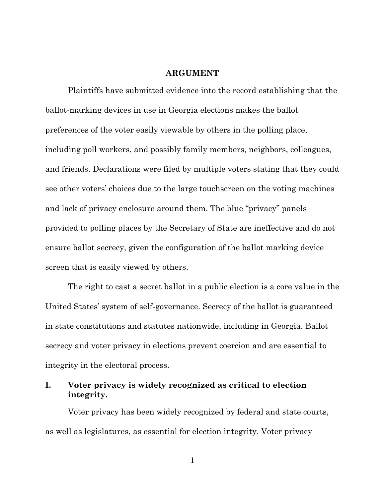#### **ARGUMENT**

Plaintiffs have submitted evidence into the record establishing that the ballot-marking devices in use in Georgia elections makes the ballot preferences of the voter easily viewable by others in the polling place, including poll workers, and possibly family members, neighbors, colleagues, and friends. Declarations were filed by multiple voters stating that they could see other voters' choices due to the large touchscreen on the voting machines and lack of privacy enclosure around them. The blue "privacy" panels provided to polling places by the Secretary of State are ineffective and do not ensure ballot secrecy, given the configuration of the ballot marking device screen that is easily viewed by others.

The right to cast a secret ballot in a public election is a core value in the United States' system of self-governance. Secrecy of the ballot is guaranteed in state constitutions and statutes nationwide, including in Georgia. Ballot secrecy and voter privacy in elections prevent coercion and are essential to integrity in the electoral process.

### **I. Voter privacy is widely recognized as critical to election integrity.**

Voter privacy has been widely recognized by federal and state courts, as well as legislatures, as essential for election integrity. Voter privacy

1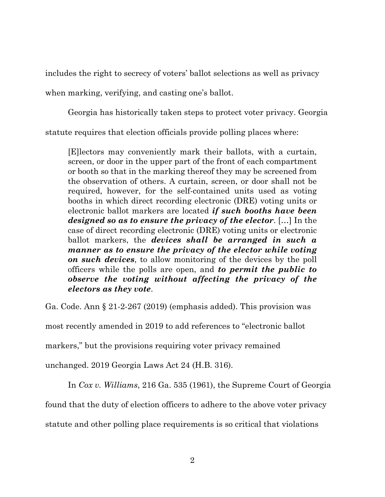includes the right to secrecy of voters' ballot selections as well as privacy when marking, verifying, and casting one's ballot.

Georgia has historically taken steps to protect voter privacy. Georgia

statute requires that election officials provide polling places where:

[E]lectors may conveniently mark their ballots, with a curtain, screen, or door in the upper part of the front of each compartment or booth so that in the marking thereof they may be screened from the observation of others. A curtain, screen, or door shall not be required, however, for the self-contained units used as voting booths in which direct recording electronic (DRE) voting units or electronic ballot markers are located *if such booths have been designed so as to ensure the privacy of the elector*. […] In the case of direct recording electronic (DRE) voting units or electronic ballot markers, the *devices shall be arranged in such a manner as to ensure the privacy of the elector while voting on such devices*, to allow monitoring of the devices by the poll officers while the polls are open, and *to permit the public to observe the voting without affecting the privacy of the electors as they vote*.

Ga. Code. Ann § 21-2-267 (2019) (emphasis added). This provision was

most recently amended in 2019 to add references to "electronic ballot

markers," but the provisions requiring voter privacy remained

unchanged. 2019 Georgia Laws Act 24 (H.B. 316).

In *Cox v. Williams*, 216 Ga. 535 (1961), the Supreme Court of Georgia

found that the duty of election officers to adhere to the above voter privacy

statute and other polling place requirements is so critical that violations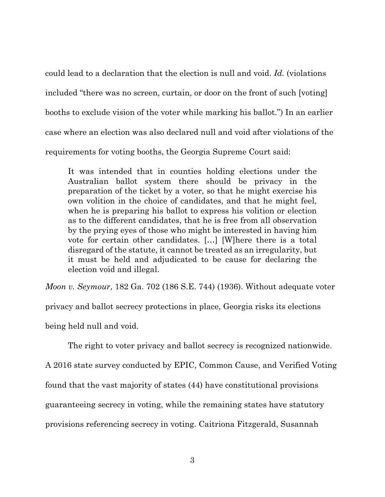could lead to a declaration that the election is null and void. *Id.* (violations included "there was no screen, curtain, or door on the front of such [voting] booths to exclude vision of the voter while marking his ballot.") In an earlier case where an election was also declared null and void after violations of the requirements for voting booths, the Georgia Supreme Court said:

It was intended that in counties holding elections under the Australian ballot system there should be privacy in the preparation of the ticket by a voter, so that he might exercise his own volition in the choice of candidates, and that he might feel, when he is preparing his ballot to express his volition or election as to the different candidates, that he is free from all observation by the prying eyes of those who might be interested in having him vote for certain other candidates. […] [W]here there is a total disregard of the statute, it cannot be treated as an irregularity, but it must be held and adjudicated to be cause for declaring the election void and illegal.

*Moon v. Seymour*, 182 Ga. 702 (186 S.E. 744) (1936). Without adequate voter

privacy and ballot secrecy protections in place, Georgia risks its elections

being held null and void.

The right to voter privacy and ballot secrecy is recognized nationwide.

A 2016 state survey conducted by EPIC, Common Cause, and Verified Voting

found that the vast majority of states (44) have constitutional provisions

guaranteeing secrecy in voting, while the remaining states have statutory

provisions referencing secrecy in voting. Caitriona Fitzgerald, Susannah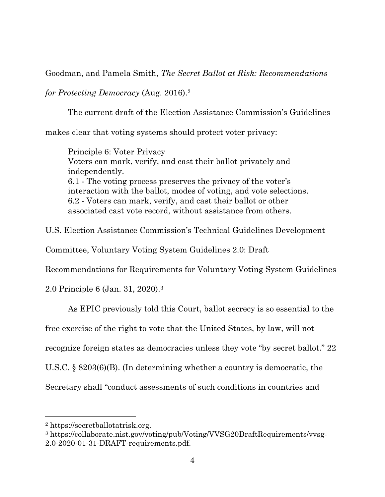Goodman, and Pamela Smith, *The Secret Ballot at Risk: Recommendations* 

*for Protecting Democracy* (Aug. 2016).2

The current draft of the Election Assistance Commission's Guidelines

makes clear that voting systems should protect voter privacy:

Principle 6: Voter Privacy Voters can mark, verify, and cast their ballot privately and independently. 6.1 - The voting process preserves the privacy of the voter's interaction with the ballot, modes of voting, and vote selections. 6.2 - Voters can mark, verify, and cast their ballot or other associated cast vote record, without assistance from others.

U.S. Election Assistance Commission's Technical Guidelines Development

Committee, Voluntary Voting System Guidelines 2.0: Draft

Recommendations for Requirements for Voluntary Voting System Guidelines

2.0 Principle 6 (Jan. 31, 2020).3

As EPIC previously told this Court, ballot secrecy is so essential to the

free exercise of the right to vote that the United States, by law, will not

recognize foreign states as democracies unless they vote "by secret ballot." 22

U.S.C. § 8203(6)(B). (In determining whether a country is democratic, the

Secretary shall "conduct assessments of such conditions in countries and

<sup>2</sup> https://secretballotatrisk.org.

<sup>3</sup> https://collaborate.nist.gov/voting/pub/Voting/VVSG20DraftRequirements/vvsg-2.0-2020-01-31-DRAFT-requirements.pdf.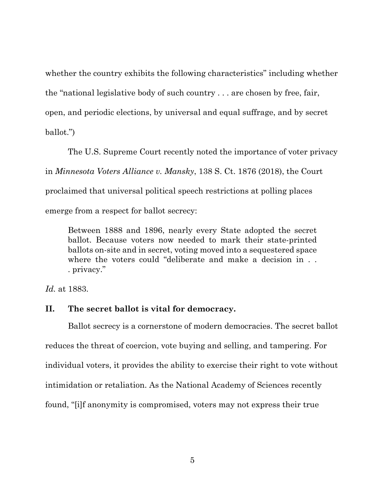whether the country exhibits the following characteristics" including whether the "national legislative body of such country . . . are chosen by free, fair, open, and periodic elections, by universal and equal suffrage, and by secret ballot.")

The U.S. Supreme Court recently noted the importance of voter privacy

in *Minnesota Voters Alliance v. Mansky*, 138 S. Ct. 1876 (2018), the Court

proclaimed that universal political speech restrictions at polling places

emerge from a respect for ballot secrecy:

Between 1888 and 1896, nearly every State adopted the secret ballot. Because voters now needed to mark their state-printed ballots on-site and in secret, voting moved into a sequestered space where the voters could "deliberate and make a decision in . . . privacy."

*Id.* at 1883.

# **II. The secret ballot is vital for democracy.**

Ballot secrecy is a cornerstone of modern democracies. The secret ballot reduces the threat of coercion, vote buying and selling, and tampering. For individual voters, it provides the ability to exercise their right to vote without intimidation or retaliation. As the National Academy of Sciences recently found, "[i]f anonymity is compromised, voters may not express their true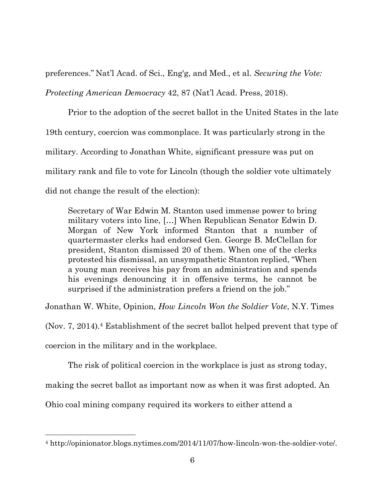preferences." Nat'l Acad. of Sci., Eng'g, and Med., et al. *Securing the Vote:* 

*Protecting American Democracy* 42, 87 (Nat'l Acad. Press, 2018).

Prior to the adoption of the secret ballot in the United States in the late 19th century, coercion was commonplace. It was particularly strong in the military. According to Jonathan White, significant pressure was put on military rank and file to vote for Lincoln (though the soldier vote ultimately did not change the result of the election):

Secretary of War Edwin M. Stanton used immense power to bring military voters into line, […] When Republican Senator Edwin D. Morgan of New York informed Stanton that a number of quartermaster clerks had endorsed Gen. George B. McClellan for president, Stanton dismissed 20 of them. When one of the clerks protested his dismissal, an unsympathetic Stanton replied, "When a young man receives his pay from an administration and spends his evenings denouncing it in offensive terms, he cannot be surprised if the administration prefers a friend on the job."

Jonathan W. White, Opinion, *How Lincoln Won the Soldier Vote*, N.Y. Times

(Nov. 7, 2014). <sup>4</sup> Establishment of the secret ballot helped prevent that type of coercion in the military and in the workplace.

The risk of political coercion in the workplace is just as strong today,

making the secret ballot as important now as when it was first adopted. An

Ohio coal mining company required its workers to either attend a

<sup>4</sup> http://opinionator.blogs.nytimes.com/2014/11/07/how-lincoln-won-the-soldier-vote/.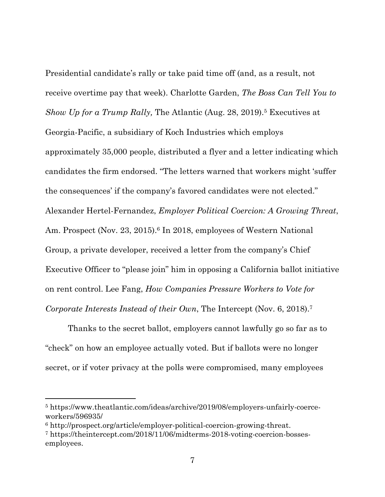Presidential candidate's rally or take paid time off (and, as a result, not receive overtime pay that week). Charlotte Garden, *The Boss Can Tell You to Show Up for a Trump Rally, The Atlantic (Aug. 28, 2019).*<sup>5</sup> Executives at Georgia-Pacific, a subsidiary of Koch Industries which employs approximately 35,000 people, distributed a flyer and a letter indicating which candidates the firm endorsed. "The letters warned that workers might 'suffer the consequences' if the company's favored candidates were not elected." Alexander Hertel-Fernandez, *Employer Political Coercion: A Growing Threat*, Am. Prospect (Nov. 23, 2015). <sup>6</sup> In 2018, employees of Western National Group, a private developer, received a letter from the company's Chief Executive Officer to "please join" him in opposing a California ballot initiative on rent control. Lee Fang, *How Companies Pressure Workers to Vote for Corporate Interests Instead of their Own*, The Intercept (Nov. 6, 2018). 7

Thanks to the secret ballot, employers cannot lawfully go so far as to "check" on how an employee actually voted. But if ballots were no longer secret, or if voter privacy at the polls were compromised, many employees

<sup>5</sup> https://www.theatlantic.com/ideas/archive/2019/08/employers-unfairly-coerceworkers/596935/

<sup>6</sup> http://prospect.org/article/employer-political-coercion-growing-threat.

<sup>7</sup> https://theintercept.com/2018/11/06/midterms-2018-voting-coercion-bossesemployees.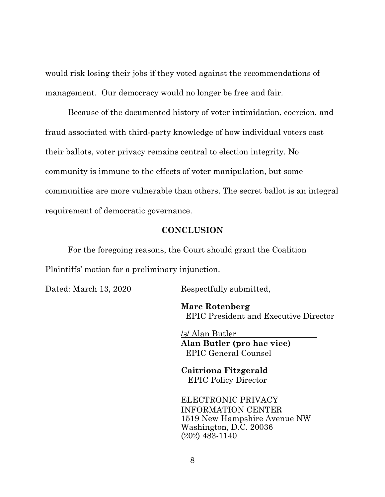would risk losing their jobs if they voted against the recommendations of management. Our democracy would no longer be free and fair.

Because of the documented history of voter intimidation, coercion, and fraud associated with third-party knowledge of how individual voters cast their ballots, voter privacy remains central to election integrity. No community is immune to the effects of voter manipulation, but some communities are more vulnerable than others. The secret ballot is an integral requirement of democratic governance.

#### **CONCLUSION**

For the foregoing reasons, the Court should grant the Coalition Plaintiffs' motion for a preliminary injunction.

Dated: March 13, 2020 Respectfully submitted,

**Marc Rotenberg** EPIC President and Executive Director

/s/ Alan Butler **Alan Butler (pro hac vice)** EPIC General Counsel

**Caitriona Fitzgerald** EPIC Policy Director

ELECTRONIC PRIVACY INFORMATION CENTER 1519 New Hampshire Avenue NW Washington, D.C. 20036 (202) 483-1140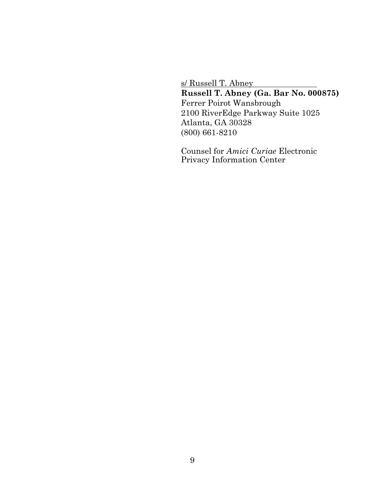s/ Russell T. Abney

**Russell T. Abney (Ga. Bar No. 000875)**  Ferrer Poirot Wansbrough 2100 RiverEdge Parkway Suite 1025 Atlanta, GA 30328 (800) 661-8210

Counsel for *Amici Curiae* Electronic Privacy Information Center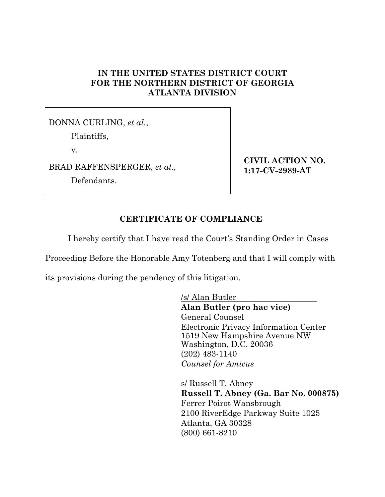# **IN THE UNITED STATES DISTRICT COURT FOR THE NORTHERN DISTRICT OF GEORGIA ATLANTA DIVISION**

DONNA CURLING, *et al.*, Plaintiffs, v. BRAD RAFFENSPERGER, *et al.*, Defendants.

**CIVIL ACTION NO. 1:17-CV-2989-AT** 

### **CERTIFICATE OF COMPLIANCE**

I hereby certify that I have read the Court's Standing Order in Cases

Proceeding Before the Honorable Amy Totenberg and that I will comply with

its provisions during the pendency of this litigation.

/s/ Alan Butler **Alan Butler (pro hac vice)** General Counsel Electronic Privacy Information Center 1519 New Hampshire Avenue NW Washington, D.C. 20036 (202) 483-1140 *Counsel for Amicus* 

s/ Russell T. Abney **Russell T. Abney (Ga. Bar No. 000875)**  Ferrer Poirot Wansbrough 2100 RiverEdge Parkway Suite 1025 Atlanta, GA 30328 (800) 661-8210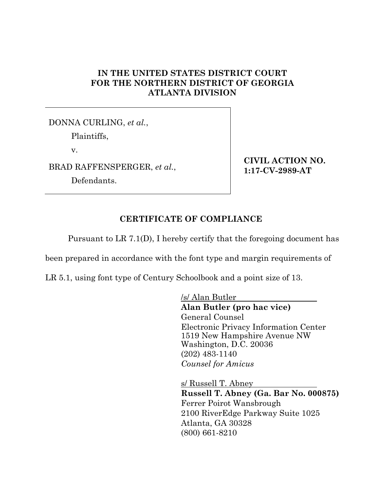# **IN THE UNITED STATES DISTRICT COURT FOR THE NORTHERN DISTRICT OF GEORGIA ATLANTA DIVISION**

DONNA CURLING, *et al.*, Plaintiffs, v. BRAD RAFFENSPERGER, *et al.*, Defendants.

**CIVIL ACTION NO. 1:17-CV-2989-AT** 

# **CERTIFICATE OF COMPLIANCE**

Pursuant to LR 7.1(D), I hereby certify that the foregoing document has

been prepared in accordance with the font type and margin requirements of

LR 5.1, using font type of Century Schoolbook and a point size of 13.

/s/ Alan Butler **Alan Butler (pro hac vice)** General Counsel Electronic Privacy Information Center 1519 New Hampshire Avenue NW Washington, D.C. 20036 (202) 483-1140 *Counsel for Amicus* 

s/ Russell T. Abney **Russell T. Abney (Ga. Bar No. 000875)**  Ferrer Poirot Wansbrough 2100 RiverEdge Parkway Suite 1025 Atlanta, GA 30328 (800) 661-8210